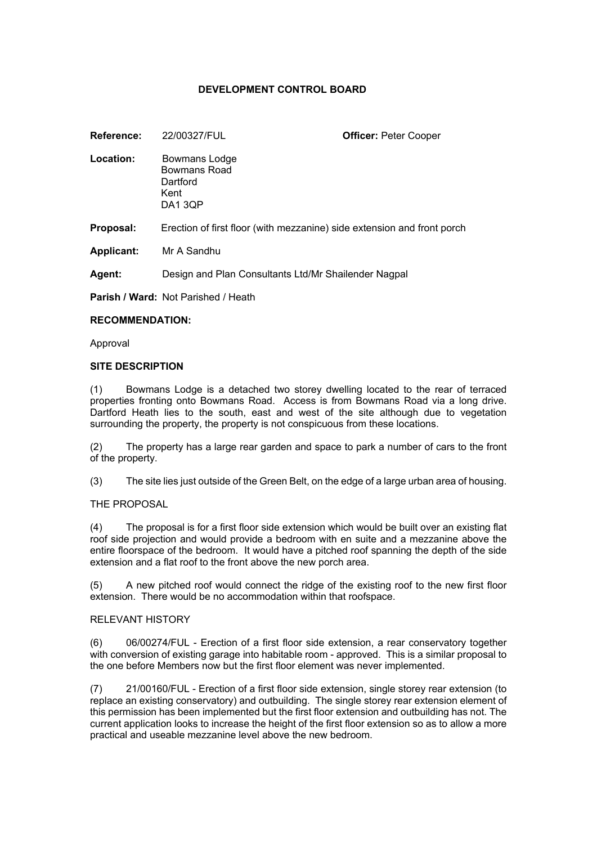# **DEVELOPMENT CONTROL BOARD**

| Reference:        | 22/00327/FUL                                                            | <b>Officer: Peter Cooper</b> |
|-------------------|-------------------------------------------------------------------------|------------------------------|
| Location:         | Bowmans Lodge<br>Bowmans Road<br>Dartford<br>Kent<br>DA13QP             |                              |
| Proposal:         | Erection of first floor (with mezzanine) side extension and front porch |                              |
| <b>Applicant:</b> | Mr A Sandhu                                                             |                              |

**Agent:** Design and Plan Consultants Ltd/Mr Shailender Nagpal

**Parish / Ward:** Not Parished / Heath

#### **RECOMMENDATION:**

Approval

#### **SITE DESCRIPTION**

(1) Bowmans Lodge is a detached two storey dwelling located to the rear of terraced properties fronting onto Bowmans Road. Access is from Bowmans Road via a long drive. Dartford Heath lies to the south, east and west of the site although due to vegetation surrounding the property, the property is not conspicuous from these locations.

(2) The property has a large rear garden and space to park a number of cars to the front of the property.

(3) The site lies just outside of the Green Belt, on the edge of a large urban area of housing.

#### THE PROPOSAL

(4) The proposal is for a first floor side extension which would be built over an existing flat roof side projection and would provide a bedroom with en suite and a mezzanine above the entire floorspace of the bedroom. It would have a pitched roof spanning the depth of the side extension and a flat roof to the front above the new porch area.

(5) A new pitched roof would connect the ridge of the existing roof to the new first floor extension. There would be no accommodation within that roofspace.

#### RELEVANT HISTORY

(6) 06/00274/FUL - Erection of a first floor side extension, a rear conservatory together with conversion of existing garage into habitable room - approved. This is a similar proposal to the one before Members now but the first floor element was never implemented.

(7) 21/00160/FUL - Erection of a first floor side extension, single storey rear extension (to replace an existing conservatory) and outbuilding. The single storey rear extension element of this permission has been implemented but the first floor extension and outbuilding has not. The current application looks to increase the height of the first floor extension so as to allow a more practical and useable mezzanine level above the new bedroom.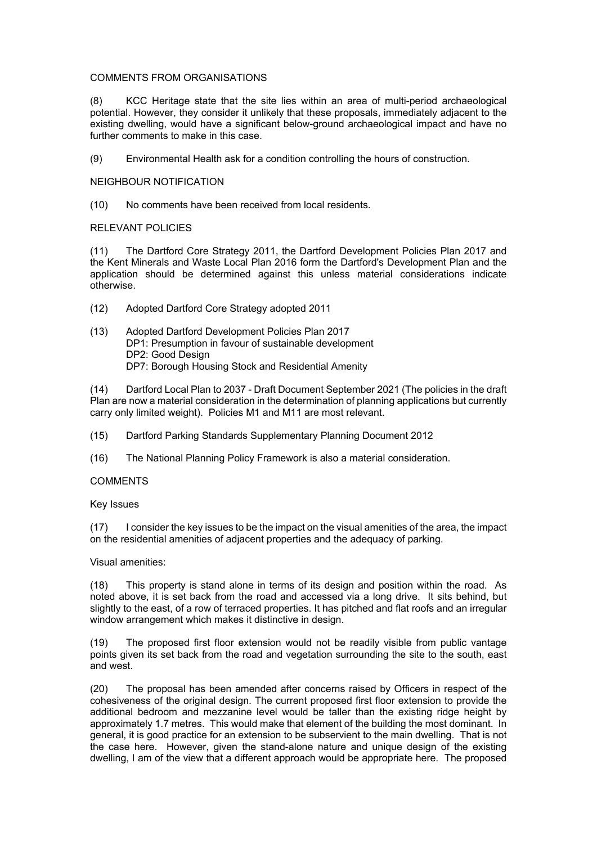#### COMMENTS FROM ORGANISATIONS

(8) KCC Heritage state that the site lies within an area of multi-period archaeological potential. However, they consider it unlikely that these proposals, immediately adjacent to the existing dwelling, would have a significant below-ground archaeological impact and have no further comments to make in this case.

(9) Environmental Health ask for a condition controlling the hours of construction.

#### NEIGHBOUR NOTIFICATION

(10) No comments have been received from local residents.

### RELEVANT POLICIES

(11) The Dartford Core Strategy 2011, the Dartford Development Policies Plan 2017 and the Kent Minerals and Waste Local Plan 2016 form the Dartford's Development Plan and the application should be determined against this unless material considerations indicate otherwise.

- (12) Adopted Dartford Core Strategy adopted 2011
- (13) Adopted Dartford Development Policies Plan 2017 DP1: Presumption in favour of sustainable development DP2: Good Design DP7: Borough Housing Stock and Residential Amenity

(14) Dartford Local Plan to 2037 - Draft Document September 2021 (The policies in the draft Plan are now a material consideration in the determination of planning applications but currently carry only limited weight). Policies M1 and M11 are most relevant.

(15) Dartford Parking Standards Supplementary Planning Document 2012

(16) The National Planning Policy Framework is also a material consideration.

#### **COMMENTS**

Key Issues

(17) I consider the key issues to be the impact on the visual amenities of the area, the impact on the residential amenities of adjacent properties and the adequacy of parking.

#### Visual amenities:

(18) This property is stand alone in terms of its design and position within the road. As noted above, it is set back from the road and accessed via a long drive. It sits behind, but slightly to the east, of a row of terraced properties. It has pitched and flat roofs and an irregular window arrangement which makes it distinctive in design.

(19) The proposed first floor extension would not be readily visible from public vantage points given its set back from the road and vegetation surrounding the site to the south, east and west.

(20) The proposal has been amended after concerns raised by Officers in respect of the cohesiveness of the original design. The current proposed first floor extension to provide the additional bedroom and mezzanine level would be taller than the existing ridge height by approximately 1.7 metres. This would make that element of the building the most dominant. In general, it is good practice for an extension to be subservient to the main dwelling. That is not the case here. However, given the stand-alone nature and unique design of the existing dwelling, I am of the view that a different approach would be appropriate here. The proposed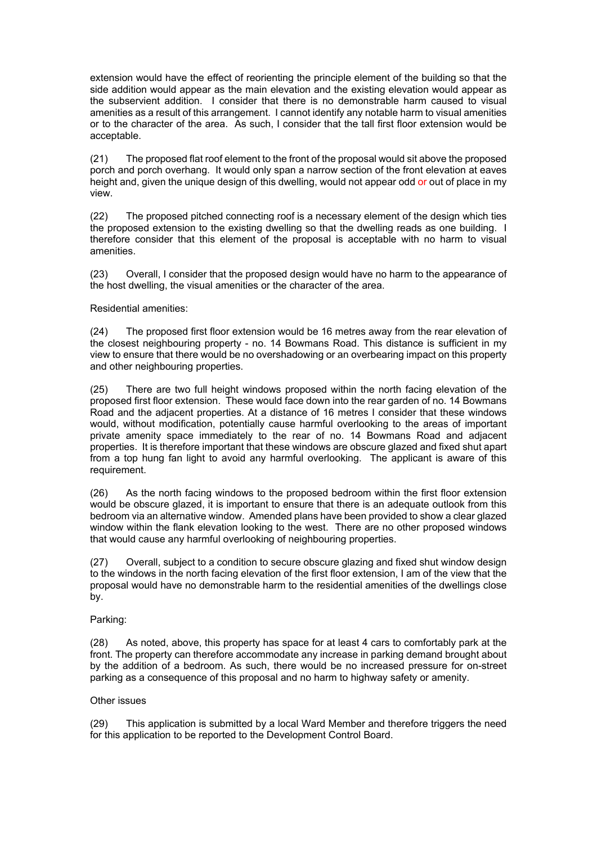extension would have the effect of reorienting the principle element of the building so that the side addition would appear as the main elevation and the existing elevation would appear as the subservient addition. I consider that there is no demonstrable harm caused to visual amenities as a result of this arrangement. I cannot identify any notable harm to visual amenities or to the character of the area. As such, I consider that the tall first floor extension would be acceptable.

(21) The proposed flat roof element to the front of the proposal would sit above the proposed porch and porch overhang. It would only span a narrow section of the front elevation at eaves height and, given the unique design of this dwelling, would not appear odd or out of place in my view.

(22) The proposed pitched connecting roof is a necessary element of the design which ties the proposed extension to the existing dwelling so that the dwelling reads as one building. I therefore consider that this element of the proposal is acceptable with no harm to visual amenities.

(23) Overall, I consider that the proposed design would have no harm to the appearance of the host dwelling, the visual amenities or the character of the area.

### Residential amenities:

(24) The proposed first floor extension would be 16 metres away from the rear elevation of the closest neighbouring property - no. 14 Bowmans Road. This distance is sufficient in my view to ensure that there would be no overshadowing or an overbearing impact on this property and other neighbouring properties.

(25) There are two full height windows proposed within the north facing elevation of the proposed first floor extension. These would face down into the rear garden of no. 14 Bowmans Road and the adjacent properties. At a distance of 16 metres I consider that these windows would, without modification, potentially cause harmful overlooking to the areas of important private amenity space immediately to the rear of no. 14 Bowmans Road and adjacent properties. It is therefore important that these windows are obscure glazed and fixed shut apart from a top hung fan light to avoid any harmful overlooking. The applicant is aware of this requirement.

(26) As the north facing windows to the proposed bedroom within the first floor extension would be obscure glazed, it is important to ensure that there is an adequate outlook from this bedroom via an alternative window. Amended plans have been provided to show a clear glazed window within the flank elevation looking to the west. There are no other proposed windows that would cause any harmful overlooking of neighbouring properties.

(27) Overall, subject to a condition to secure obscure glazing and fixed shut window design to the windows in the north facing elevation of the first floor extension, I am of the view that the proposal would have no demonstrable harm to the residential amenities of the dwellings close by.

## Parking:

(28) As noted, above, this property has space for at least 4 cars to comfortably park at the front. The property can therefore accommodate any increase in parking demand brought about by the addition of a bedroom. As such, there would be no increased pressure for on-street parking as a consequence of this proposal and no harm to highway safety or amenity.

#### Other issues

(29) This application is submitted by a local Ward Member and therefore triggers the need for this application to be reported to the Development Control Board.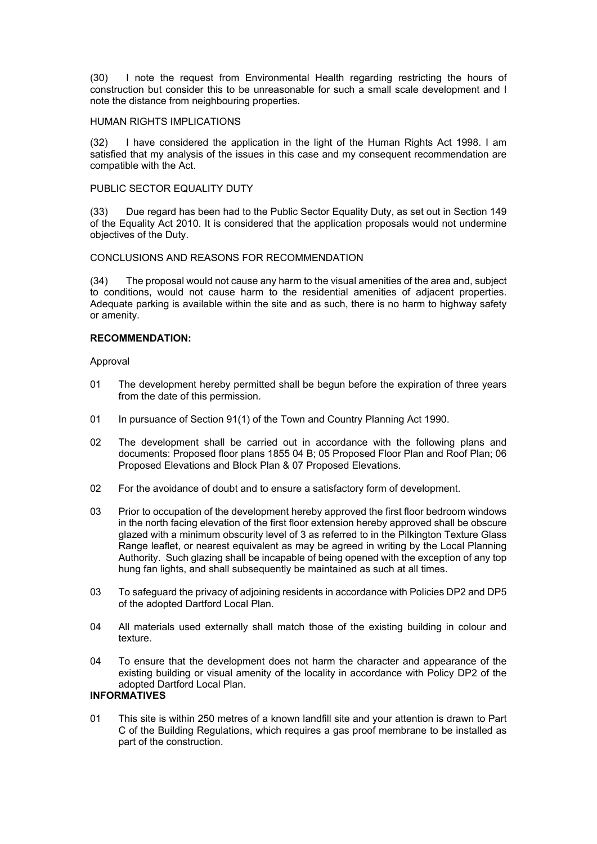(30) I note the request from Environmental Health regarding restricting the hours of construction but consider this to be unreasonable for such a small scale development and I note the distance from neighbouring properties.

#### HUMAN RIGHTS IMPLICATIONS

(32) I have considered the application in the light of the Human Rights Act 1998. I am satisfied that my analysis of the issues in this case and my consequent recommendation are compatible with the Act.

#### PUBLIC SECTOR EQUALITY DUTY

(33) Due regard has been had to the Public Sector Equality Duty, as set out in Section 149 of the Equality Act 2010. It is considered that the application proposals would not undermine objectives of the Duty.

#### CONCLUSIONS AND REASONS FOR RECOMMENDATION

(34) The proposal would not cause any harm to the visual amenities of the area and, subject to conditions, would not cause harm to the residential amenities of adjacent properties. Adequate parking is available within the site and as such, there is no harm to highway safety or amenity.

#### **RECOMMENDATION:**

Approval

- 01 The development hereby permitted shall be begun before the expiration of three years from the date of this permission.
- 01 In pursuance of Section 91(1) of the Town and Country Planning Act 1990.
- 02 The development shall be carried out in accordance with the following plans and documents: Proposed floor plans 1855 04 B; 05 Proposed Floor Plan and Roof Plan; 06 Proposed Elevations and Block Plan & 07 Proposed Elevations.
- 02 For the avoidance of doubt and to ensure a satisfactory form of development.
- 03 Prior to occupation of the development hereby approved the first floor bedroom windows in the north facing elevation of the first floor extension hereby approved shall be obscure glazed with a minimum obscurity level of 3 as referred to in the Pilkington Texture Glass Range leaflet, or nearest equivalent as may be agreed in writing by the Local Planning Authority. Such glazing shall be incapable of being opened with the exception of any top hung fan lights, and shall subsequently be maintained as such at all times.
- 03 To safeguard the privacy of adjoining residents in accordance with Policies DP2 and DP5 of the adopted Dartford Local Plan.
- 04 All materials used externally shall match those of the existing building in colour and texture.
- 04 To ensure that the development does not harm the character and appearance of the existing building or visual amenity of the locality in accordance with Policy DP2 of the adopted Dartford Local Plan.

## **INFORMATIVES**

01 This site is within 250 metres of a known landfill site and your attention is drawn to Part C of the Building Regulations, which requires a gas proof membrane to be installed as part of the construction.